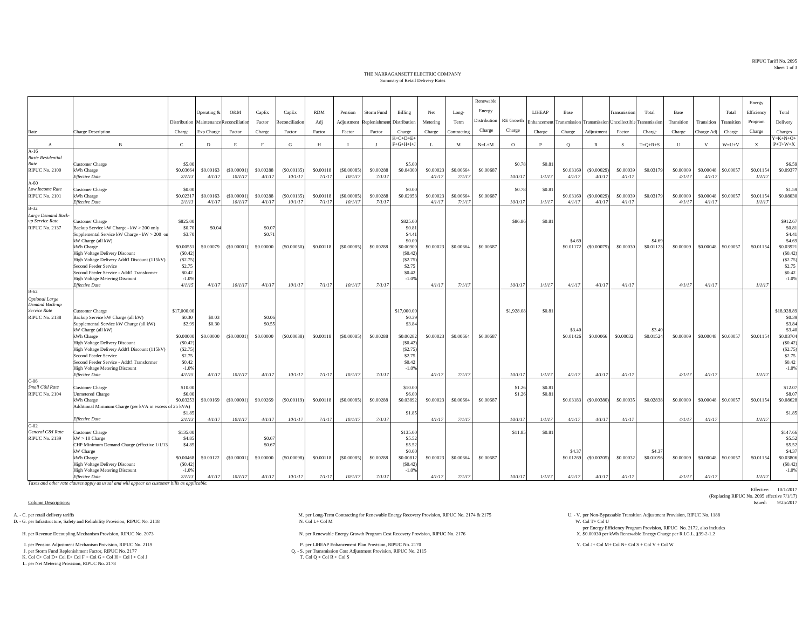RIPUC Tariff No. 2095Sheet 1 of 3

Effective: 10/1/2017

(Replacing RIPUC No. 2095 effective 7/1/17)<br>Issued: 9/25/2017

## THE NARRAGANSETT ELECTRIC COMPANYSummary of Retail Delivery Rates

|                                         |                                                                                          |                     |                     |                                         |                     |                       |                     |                       |                            |                           |                    |                     | Renewable    |            |                                       |                     |                                         |                     |                     |                     |                     |             | Energy              |                              |
|-----------------------------------------|------------------------------------------------------------------------------------------|---------------------|---------------------|-----------------------------------------|---------------------|-----------------------|---------------------|-----------------------|----------------------------|---------------------------|--------------------|---------------------|--------------|------------|---------------------------------------|---------------------|-----------------------------------------|---------------------|---------------------|---------------------|---------------------|-------------|---------------------|------------------------------|
|                                         |                                                                                          |                     | Operating &         | O&M                                     | CapEx               | CapEx                 | <b>RDM</b>          | Pension               | <b>Storm Fund</b>          | Billing                   | Net                | Long-               | Energy       |            | <b>LIHEAP</b>                         | Base                |                                         | Transmission        | Total               | Base                |                     | Total       | Efficiency          | Total                        |
|                                         |                                                                                          |                     |                     | Distribution Maintenance Reconciliation | Factor              | Reconciliation        | Adj                 | Adjustment            | Replenishment Distribution |                           | Metering           | Term                | Distribution |            | $\mathsf{RE}$ Growth $\;$ Enhancement |                     | Transmission Transmission Uncollectible |                     | Transmission        | Transition          | Transition          | Transition  | Program             | Delivery                     |
|                                         |                                                                                          |                     |                     |                                         |                     |                       |                     |                       |                            |                           |                    |                     | Charge       | Charge     |                                       |                     |                                         |                     |                     |                     |                     |             |                     |                              |
| Rate                                    | <b>Charge Description</b>                                                                | Charge              | Exp Charge          | Factor                                  | Charge              | Factor                | Factor              | Factor                | Factor                     | Charge<br>$K = C + D + E$ | Charge             | Contracting         |              |            | Charge                                | Charge              | Adjustment                              | Factor              | Charge              | Charge              | Charge Adj          | Charge      | Charge              | Charges<br>$Y = K + N + O +$ |
| $\mathbf{A}$                            | $\overline{B}$                                                                           | $\mathbf{C}$        | D                   | E                                       | F                   | G                     | H                   | $\mathbf{I}$          |                            | $F+G+H+I+J$               | L                  | M                   | $N=L+M$      | $\circ$    | P                                     | $\circ$             | $\mathbb{R}$                            | S                   | $T=Q+R+S$           | U                   | V                   | $W = U + V$ | $\mathbf x$         | $P+T+W+X$                    |
| $A-16$                                  |                                                                                          |                     |                     |                                         |                     |                       |                     |                       |                            |                           |                    |                     |              |            |                                       |                     |                                         |                     |                     |                     |                     |             |                     |                              |
| <b>Basic Residential</b><br>Rate        |                                                                                          |                     |                     |                                         |                     |                       |                     |                       |                            |                           |                    |                     |              |            | \$0.8                                 |                     |                                         |                     |                     |                     |                     |             |                     | \$6.59                       |
| <b>RIPUC No. 2100</b>                   | <b>Customer Charge</b><br>kWh Charge                                                     | \$5.00<br>\$0.03664 | \$0,00163           | (S0,0000)                               | \$0,00288           | (S0.00135)            | \$0,00118           | (\$0,00085)           | \$0,00288                  | \$5.00<br>\$0,04300       | \$0,0002           | \$0,00664           | \$0,00687    | \$0.78     |                                       | \$0,03169           | (S0.00029)                              | \$0,00039           | \$0.03179           | \$0,00009           | \$0,00048           | \$0,00057   | \$0.01154           | \$0,09377                    |
|                                         | <b>Effective Date</b>                                                                    | 2/1/13              | 4/1/17              | 10/1/17                                 | 4/1/17              | 10/1/17               | 7/1/17              | 10/1/17               | 7/1/17                     |                           | 4/1/17             | 7/1/17              |              | 10/1/17    | 1/1/17                                | 4/1/17              | 4/1/17                                  | 4/1/17              |                     | 4/1/17              | 4/1/17              |             | 1/1/17              |                              |
| $A-60$                                  |                                                                                          |                     |                     |                                         |                     |                       |                     |                       |                            |                           |                    |                     |              |            |                                       |                     |                                         |                     |                     |                     |                     |             |                     |                              |
| <b>Low Income Rate</b>                  | <b>Customer Charge</b>                                                                   | \$0.00              |                     |                                         |                     |                       |                     |                       |                            | \$0.00                    |                    |                     |              | \$0.78     | \$0.81                                |                     |                                         |                     |                     |                     |                     |             |                     | \$1.59                       |
| RIPUC No. 2101                          | kWh Charge<br><b>Effective Date</b>                                                      | \$0.02317<br>2/1/13 | \$0,00163<br>4/1/17 | (S0,00001)<br>10/1/17                   | \$0,00288<br>4/1/17 | (S0.00135)<br>10/1/17 | \$0,00118<br>7/1/17 | (\$0,00085<br>10/1/17 | \$0.00288<br>7/1/17        | \$0.02953                 | \$0,0002<br>4/1/17 | \$0,00664<br>7/1/17 | \$0,00687    | 10/1/17    | 1/1/17                                | \$0.03169<br>4/1/17 | (S0.00029)<br>4/1/17                    | \$0,00039<br>4/1/17 | \$0.03179           | \$0,00009<br>4/1/17 | \$0,00048<br>4/1/17 | \$0,00057   | \$0.01154<br>1/1/17 | \$0,08030                    |
| $B-32$                                  |                                                                                          |                     |                     |                                         |                     |                       |                     |                       |                            |                           |                    |                     |              |            |                                       |                     |                                         |                     |                     |                     |                     |             |                     |                              |
| Large Demand Back-                      |                                                                                          |                     |                     |                                         |                     |                       |                     |                       |                            |                           |                    |                     |              |            |                                       |                     |                                         |                     |                     |                     |                     |             |                     |                              |
| up Service Rate                         | <b>Customer Charge</b>                                                                   | \$825.00            |                     |                                         |                     |                       |                     |                       |                            | \$825.00                  |                    |                     |              | \$86.86    | \$0.8                                 |                     |                                         |                     |                     |                     |                     |             |                     | \$912.67                     |
| <b>RIPUC No. 2137</b>                   | Backup Service kW Charge - kW > 200 only<br>Supplemental Service kW Charge - kW > 200 on | \$0.70<br>\$3.70    | \$0.04              |                                         | \$0.07<br>\$0.71    |                       |                     |                       |                            | \$0.81<br>\$4.4           |                    |                     |              |            |                                       |                     |                                         |                     |                     |                     |                     |             |                     | \$0.81<br>\$4.41             |
|                                         | kW Charge (all kW)                                                                       |                     |                     |                                         |                     |                       |                     |                       |                            | \$0.00                    |                    |                     |              |            |                                       | \$4.69              |                                         |                     | \$4.69              |                     |                     |             |                     | \$4.69                       |
|                                         | kWh Charge                                                                               | \$0.00551           | \$0,00079           | (S0,00001)                              | \$0,00000           | $($ \$0.00050)        | \$0.00118           | (S0,00085)            | \$0,00288                  | \$0,00900                 | \$0,00023          | \$0,00664           | \$0,00687    |            |                                       | \$0.01172           | (S0.00079)                              | \$0,00030           | \$0.01123           | \$0,00009           | \$0,00048           | \$0.00057   | \$0.01154           | \$0.03921                    |
|                                         | <b>High Voltage Delivery Discount</b>                                                    | (S0.42)             |                     |                                         |                     |                       |                     |                       |                            | (S0.42)                   |                    |                     |              |            |                                       |                     |                                         |                     |                     |                     |                     |             |                     | (S0.42)                      |
|                                         | High Voltage Delivery Addt'l Discount (115kV)<br>Second Feeder Service                   | (S2.75)<br>\$2.75   |                     |                                         |                     |                       |                     |                       |                            | (S2.75)<br>\$2.75         |                    |                     |              |            |                                       |                     |                                         |                     |                     |                     |                     |             |                     | (S2.75)<br>\$2.75            |
|                                         | Second Feeder Service - Addt'l Transformer                                               | \$0.42              |                     |                                         |                     |                       |                     |                       |                            | \$0.42                    |                    |                     |              |            |                                       |                     |                                         |                     |                     |                     |                     |             |                     | \$0.42                       |
|                                         | <b>High Voltage Metering Discount</b>                                                    | $-1.0%$             |                     |                                         |                     |                       |                     |                       |                            | $-1.0%$                   |                    |                     |              |            |                                       |                     |                                         |                     |                     |                     |                     |             |                     | $-1.0%$                      |
|                                         | <b>Effective Date</b>                                                                    | 4/1/15              | 4/1/17              | 10/1/17                                 | 4/1/17              | 10/1/17               | 7/1/17              | 10/1/17               | 7/1/17                     |                           | 4/1/17             | 7/1/17              |              | 10/1/17    | 1/1/17                                | 4/1/17              | 4/1/17                                  | 4/1/17              |                     | 4/1/17              | 4/1/17              |             | 1/1/17              |                              |
| $B-62$                                  |                                                                                          |                     |                     |                                         |                     |                       |                     |                       |                            |                           |                    |                     |              |            |                                       |                     |                                         |                     |                     |                     |                     |             |                     |                              |
| <b>Optional Large</b><br>Demand Back-up |                                                                                          |                     |                     |                                         |                     |                       |                     |                       |                            |                           |                    |                     |              |            |                                       |                     |                                         |                     |                     |                     |                     |             |                     |                              |
| Service Rate                            | <b>Customer Charge</b>                                                                   | \$17,000.00         |                     |                                         |                     |                       |                     |                       |                            | \$17,000.00               |                    |                     |              | \$1,928.08 | \$0.8                                 |                     |                                         |                     |                     |                     |                     |             |                     | \$18,928.89                  |
| RIPUC No. 2138                          | Backup Service kW Charge (all kW)                                                        | \$0.30              | \$0.03              |                                         | \$0.06              |                       |                     |                       |                            | \$0.39                    |                    |                     |              |            |                                       |                     |                                         |                     |                     |                     |                     |             |                     | \$0.39                       |
|                                         | Supplemental Service kW Charge (all kW)                                                  | \$2.99              | \$0.30              |                                         | \$0.55              |                       |                     |                       |                            | \$3.84                    |                    |                     |              |            |                                       |                     |                                         |                     |                     |                     |                     |             |                     | \$3.84                       |
|                                         | kW Charge (all kW)<br>kWh Charge                                                         | \$0,00000           | \$0,00000           | (S0,00001)                              | \$0,00000           | $($ \$0.00038)        | \$0,00118           | (S0,00085)            | \$0,00288                  | \$0.00282                 | \$0,00023          | \$0,00664           | \$0,00687    |            |                                       | \$3.40<br>\$0.01426 | \$0,00066                               | \$0.00032           | \$3.40<br>\$0.01524 | \$0,00009           | \$0,00048           | \$0,00057   | \$0.01154           | \$3.40<br>\$0.03704          |
|                                         | High Voltage Delivery Discount                                                           | (S0.42)             |                     |                                         |                     |                       |                     |                       |                            | (S0.42)                   |                    |                     |              |            |                                       |                     |                                         |                     |                     |                     |                     |             |                     | (S0.42)                      |
|                                         | High Voltage Delivery Addt'l Discount (115kV)                                            | (S2.75)             |                     |                                         |                     |                       |                     |                       |                            | (S2.75)                   |                    |                     |              |            |                                       |                     |                                         |                     |                     |                     |                     |             |                     | (S2.75)                      |
|                                         | Second Feeder Service                                                                    | \$2.75              |                     |                                         |                     |                       |                     |                       |                            | \$2.75                    |                    |                     |              |            |                                       |                     |                                         |                     |                     |                     |                     |             |                     | \$2.75                       |
|                                         | Second Feeder Service - Addt'l Transformer                                               | \$0.42              |                     |                                         |                     |                       |                     |                       |                            | \$0.42                    |                    |                     |              |            |                                       |                     |                                         |                     |                     |                     |                     |             |                     | \$0.42                       |
|                                         | <b>High Voltage Metering Discount</b><br><b>Effective Date</b>                           | $-1.0%$<br>4/1/15   | 4/1/17              | 10/1/17                                 | 4/1/17              | 10/1/17               | 7/1/17              | 10/1/17               | 7/1/17                     | $-1.0%$                   | 4/1/17             | 7/1/17              |              | 10/1/17    | 1/1/17                                | 4/1/17              | 4/1/17                                  | 4/1/17              |                     | 4/1/17              | 4/1/17              |             | 1/1/17              | $-1.0%$                      |
| $C-06$                                  |                                                                                          |                     |                     |                                         |                     |                       |                     |                       |                            |                           |                    |                     |              |            |                                       |                     |                                         |                     |                     |                     |                     |             |                     |                              |
| Small C&I Rate                          | <b>Customer Charge</b>                                                                   | \$10.00             |                     |                                         |                     |                       |                     |                       |                            | \$10.00                   |                    |                     |              | \$1.26     | \$0.8                                 |                     |                                         |                     |                     |                     |                     |             |                     | \$12.07                      |
| RIPUC No. 2104                          | <b>Unmetered Charge</b>                                                                  | \$6.00              |                     |                                         |                     |                       |                     |                       |                            | \$6.00                    |                    |                     |              | \$1.26     | \$0.8                                 |                     |                                         |                     |                     |                     |                     |             |                     | \$8.07                       |
|                                         | kWh Charge<br>Additional Minimum Charge (per kVA in excess of 25 kVA)                    | \$0.03253           | \$0.00169           | (S0.00001)                              | \$0.00269           | (S0.00119)            | \$0.00118           | (S0.00085)            | \$0.00288                  | \$0.03892                 | \$0.00023          | \$0.00664           | \$0.00687    |            |                                       | \$0.03183           | $($ \$0.00380)                          | \$0.00035           | \$0.02838           | \$0.00009           | \$0.00048           | \$0,00057   | \$0.01154           | \$0.08628                    |
|                                         |                                                                                          | \$1.85              |                     |                                         |                     |                       |                     |                       |                            | \$1.85                    |                    |                     |              |            |                                       |                     |                                         |                     |                     |                     |                     |             |                     | \$1.85                       |
|                                         | <b>Effective Date</b>                                                                    | 2/1/13              | 4/1/17              | 10/1/17                                 | 4/1/17              | 10/1/17               | 7/1/17              | 10/1/17               | 7/1/17                     |                           | 4/1/17             | 7/1/17              |              | 10/1/17    | 1/1/17                                | 4/1/17              | 4/1/17                                  | 4/1/17              |                     | 4/1/17              | 4/1/17              |             | 1/1/17              |                              |
| $G-02$<br>General C&I Rate              |                                                                                          |                     |                     |                                         |                     |                       |                     |                       |                            |                           |                    |                     |              |            |                                       |                     |                                         |                     |                     |                     |                     |             |                     |                              |
| <b>RIPUC No. 2139</b>                   | <b>Customer Charge</b><br>$kW > 10$ Charge                                               | \$135.00<br>\$4.85  |                     |                                         | \$0.67              |                       |                     |                       |                            | \$135.00<br>\$5.52        |                    |                     |              | \$11.85    | \$0.8                                 |                     |                                         |                     |                     |                     |                     |             |                     | \$147.66<br>\$5.52           |
|                                         | CHP Minimum Demand Charge (effective 1/1/13                                              | \$4.85              |                     |                                         | \$0.67              |                       |                     |                       |                            | \$5.52                    |                    |                     |              |            |                                       |                     |                                         |                     |                     |                     |                     |             |                     | \$5.52                       |
|                                         | kW Charge                                                                                |                     |                     |                                         |                     |                       |                     |                       |                            | \$0.00                    |                    |                     |              |            |                                       | \$4.37              |                                         |                     | \$4.37              |                     |                     |             |                     | \$4.37                       |
|                                         | kWh Charge                                                                               | \$0,00468           | \$0.00122           | (S0.00001)                              | \$0,00000           | $($ \$0.00098)        | \$0.00118           | (S0.00085)            | \$0.00288                  | \$0,00813                 | \$0.00023          | \$0,00664           | \$0,00687    |            |                                       | \$0.01269           | (S0.00205)                              | \$0,00032           | \$0.01096           | \$0.00009           | \$0,00048           | \$0,00057   | \$0.01154           | \$0,03806                    |
|                                         | High Voltage Delivery Discount                                                           | (S0.42)             |                     |                                         |                     |                       |                     |                       |                            | (S0.42)                   |                    |                     |              |            |                                       |                     |                                         |                     |                     |                     |                     |             |                     | (S0.42)                      |
|                                         | <b>High Voltage Metering Discount</b><br><b>Effective Date</b>                           | $-1.0%$<br>2/1/13   | 4/1/17              | 10/1/17                                 | 4/1/17              | 10/1/17               | 7/1/17              | 10/1/17               | 7/1/17                     | $-1.0%$                   | 4/1/17             | 7/1/17              |              | 10/1/17    | 1/1/17                                | 4/1/17              | 4/1/17                                  | 4/1/17              |                     | 4/1/17              | 4/1/17              |             | 1/1/17              | $-1.0%$                      |
|                                         |                                                                                          |                     |                     |                                         |                     |                       |                     |                       |                            |                           |                    |                     |              |            |                                       |                     |                                         |                     |                     |                     |                     |             |                     |                              |

*Taxes and other rate clauses apply as usual and will appear on customer bills as applicable.*

Column Descriptions: Issued: 9/25/2017

D. - G. per Infrastructure, Safety and Reliability Provision, RIPUC No. 2118

K. Col C+ Col D+ Col E+ Col F + Col G + Col H + Col I + Col J

L. per Net Metering Provision, RIPUC No. 2178

A. - C. per retail delivery tariffs M. per Long-Term Contracting for Renewable Energy Recovery Provision, RIPUC No. 2174 & 2175 U. - V. per Non-Bypassable Transition Adjustment Provision, RIPUC No. 1188 N. Col L+ Col M N.

H. per Renewable Energy Growth Program Cost Recovery Provision, RIPUC No. 2176 N. per Renewable Energy Growth Program Cost Recovery Provision, RIPUC No. 2176

1. per Pension Adjustment Mechanism Provision, RIPUC No. 2119 P. per LIHEAP Enhancement Plan Provision, RIPUC No. 2170 Y. Col J+ Col M+ Col N+ Col N+ Col S + Col V + Col W + Col W + Col W + Col W + Col W + Col W + Col W +

Q. - S. per Transmission Cost Adjustment Provision, RIPUC No. 2115<br>T. Col Q + Col R + Col S

per Energy Efficiency Program Provision, RIPUC No. 2172, also includes \$0.00030 per kWh Renewable Energy Charge per R.I.G.L. §39-2-1.2